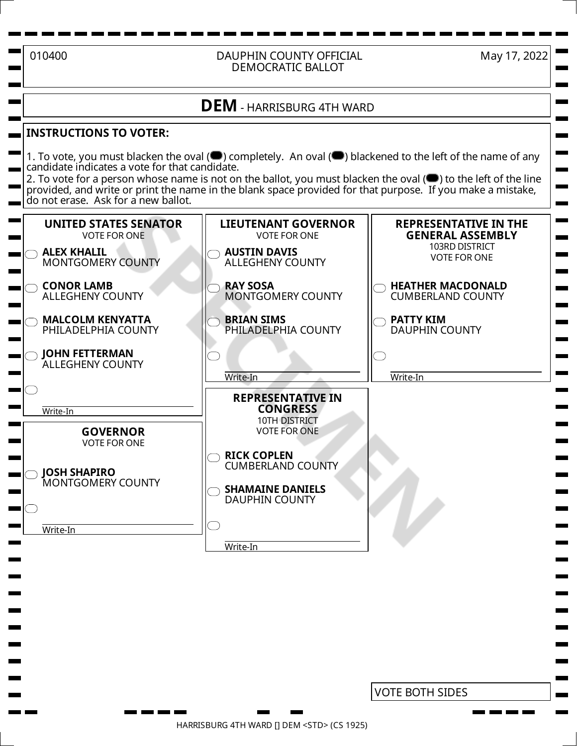## 010400 DAUPHIN COUNTY OFFICIAL DEMOCRATIC BALLOT

May 17, 2022

## **DEM** - HARRISBURG 4TH WARD

## **INSTRUCTIONS TO VOTER:**

1. To vote, you must blacken the oval (C) completely. An oval (C) blackened to the left of the name of any candidate indicates a vote for that candidate.

2. To vote for a person whose name is not on the ballot, you must blacken the oval  $(\blacksquare)$  to the left of the line provided, and write or print the name in the blank space provided for that purpose. If you make a mistake, do not erase. Ask for a new ballot.